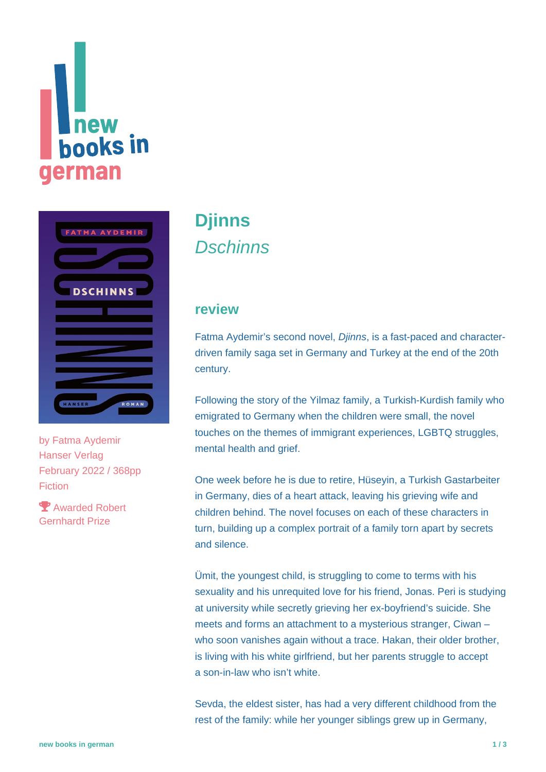# new **books** in **german**



by [Fatma Aydemir](https://www.new-books-in-german.com/recommendations/?searchInput=Fatma%20Aydemir) Hanser Verlag February 2022 / 368pp Fiction

 Awarded Robert Gernhardt Prize

# **[Djinns](https://www.new-books-in-german.com/recommendations/djinns/) Dschinns**

#### **review**

Fatma Aydemir's second novel, Djinns, is a fast-paced and characterdriven family saga set in Germany and Turkey at the end of the 20th century.

Following the story of the Yilmaz family, a Turkish-Kurdish family who emigrated to Germany when the children were small, the novel touches on the themes of immigrant experiences, LGBTQ struggles, mental health and grief.

One week before he is due to retire, Hüseyin, a Turkish Gastarbeiter in Germany, dies of a heart attack, leaving his grieving wife and children behind. The novel focuses on each of these characters in turn, building up a complex portrait of a family torn apart by secrets and silence.

Ümit, the youngest child, is struggling to come to terms with his sexuality and his unrequited love for his friend, Jonas. Peri is studying at university while secretly grieving her ex-boyfriend's suicide. She meets and forms an attachment to a mysterious stranger, Ciwan – who soon vanishes again without a trace. Hakan, their older brother, is living with his white girlfriend, but her parents struggle to accept a son-in-law who isn't white.

Sevda, the eldest sister, has had a very different childhood from the rest of the family: while her younger siblings grew up in Germany,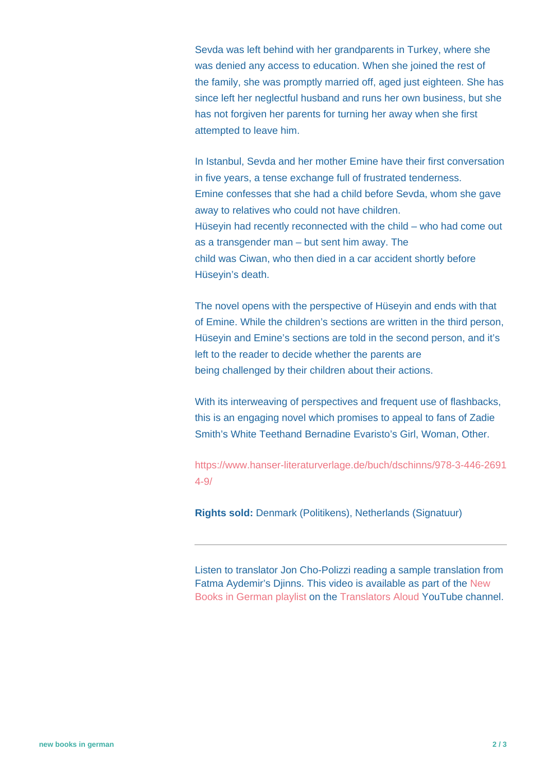Sevda was left behind with her grandparents in Turkey, where she was denied any access to education. When she joined the rest of the family, she was promptly married off, aged just eighteen. She has since left her neglectful husband and runs her own business, but she has not forgiven her parents for turning her away when she first attempted to leave him.

In Istanbul, Sevda and her mother Emine have their first conversation in five years, a tense exchange full of frustrated tenderness. Emine confesses that she had a child before Sevda, whom she gave away to relatives who could not have children. Hüseyin had recently reconnected with the child – who had come out as a transgender man – but sent him away. The child was Ciwan, who then died in a car accident shortly before Hüseyin's death.

The novel opens with the perspective of Hüseyin and ends with that of Emine. While the children's sections are written in the third person, Hüseyin and Emine's sections are told in the second person, and it's left to the reader to decide whether the parents are being challenged by their children about their actions.

With its interweaving of perspectives and frequent use of flashbacks, this is an engaging novel which promises to appeal to fans of Zadie Smith's White Teethand Bernadine Evaristo's Girl, Woman, Other.

[https://www.hanser-literaturverlage.de/buch/dschinns/978-3-446-2691](https://www.hanser-literaturverlage.de/buch/dschinns/978-3-446-26914-9/) [4-9/](https://www.hanser-literaturverlage.de/buch/dschinns/978-3-446-26914-9/)

**Rights sold:** Denmark (Politikens), Netherlands (Signatuur)

Listen to translator Jon Cho-Polizzi reading a sample translation from Fatma Aydemir's Djinns. This video is available as part of the [New](https://www.youtube.com/playlist?list=PLb79xn1QTw3y-uP2es2qBbOQQbhOkcbEx) [Books in German playlist](https://www.youtube.com/playlist?list=PLb79xn1QTw3y-uP2es2qBbOQQbhOkcbEx) on the [Translators Aloud](https://www.youtube.com/c/TranslatorsAloud) YouTube channel.